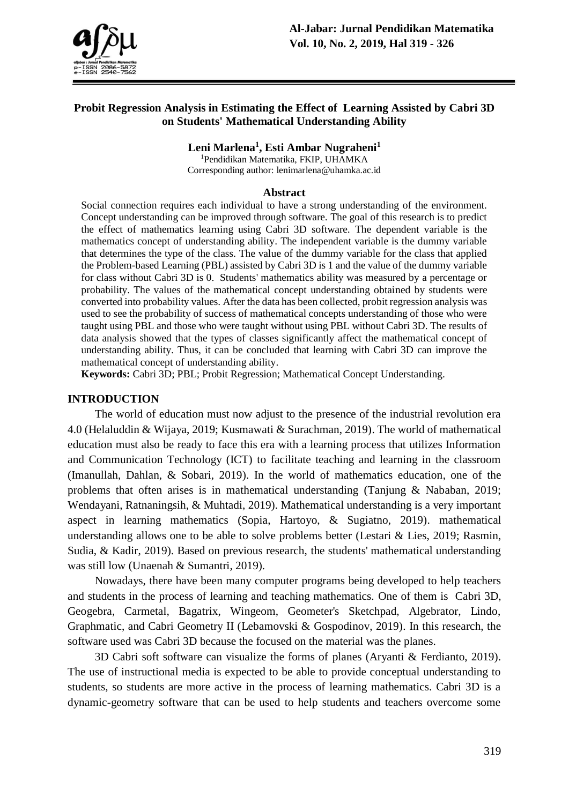

## **Probit Regression Analysis in Estimating the Effect of Learning Assisted by Cabri 3D on Students' Mathematical Understanding Ability**

**Leni Marlena<sup>1</sup> , Esti Ambar Nugraheni<sup>1</sup>**

<sup>1</sup>Pendidikan Matematika, FKIP, UHAMKA Corresponding author: lenimarlena@uhamka.ac.id

#### **Abstract**

Social connection requires each individual to have a strong understanding of the environment. Concept understanding can be improved through software. The goal of this research is to predict the effect of mathematics learning using Cabri 3D software. The dependent variable is the mathematics concept of understanding ability. The independent variable is the dummy variable that determines the type of the class. The value of the dummy variable for the class that applied the Problem-based Learning (PBL) assisted by Cabri 3D is 1 and the value of the dummy variable for class without Cabri 3D is 0. Students' mathematics ability was measured by a percentage or probability. The values of the mathematical concept understanding obtained by students were converted into probability values. After the data has been collected, probit regression analysis was used to see the probability of success of mathematical concepts understanding of those who were taught using PBL and those who were taught without using PBL without Cabri 3D. The results of data analysis showed that the types of classes significantly affect the mathematical concept of understanding ability. Thus, it can be concluded that learning with Cabri 3D can improve the mathematical concept of understanding ability.

**Keywords:** Cabri 3D; PBL; Probit Regression; Mathematical Concept Understanding.

### **INTRODUCTION**

The world of education must now adjust to the presence of the industrial revolution era 4.0 (Helaluddin & Wijaya, 2019; Kusmawati & Surachman, 2019). The world of mathematical education must also be ready to face this era with a learning process that utilizes Information and Communication Technology (ICT) to facilitate teaching and learning in the classroom (Imanullah, Dahlan, & Sobari, 2019). In the world of mathematics education, one of the problems that often arises is in mathematical understanding (Tanjung & Nababan, 2019; Wendayani, Ratnaningsih, & Muhtadi, 2019). Mathematical understanding is a very important aspect in learning mathematics (Sopia, Hartoyo, & Sugiatno, 2019). mathematical understanding allows one to be able to solve problems better (Lestari & Lies, 2019; Rasmin, Sudia, & Kadir, 2019). Based on previous research, the students' mathematical understanding was still low (Unaenah & Sumantri, 2019).

Nowadays, there have been many computer programs being developed to help teachers and students in the process of learning and teaching mathematics. One of them is Cabri 3D, Geogebra, Carmetal, Bagatrix, Wingeom, Geometer's Sketchpad, Algebrator, Lindo, Graphmatic, and Cabri Geometry II (Lebamovski & Gospodinov, 2019). In this research, the software used was Cabri 3D because the focused on the material was the planes.

3D Cabri soft software can visualize the forms of planes (Aryanti & Ferdianto, 2019). The use of instructional media is expected to be able to provide conceptual understanding to students, so students are more active in the process of learning mathematics. Cabri 3D is a dynamic-geometry software that can be used to help students and teachers overcome some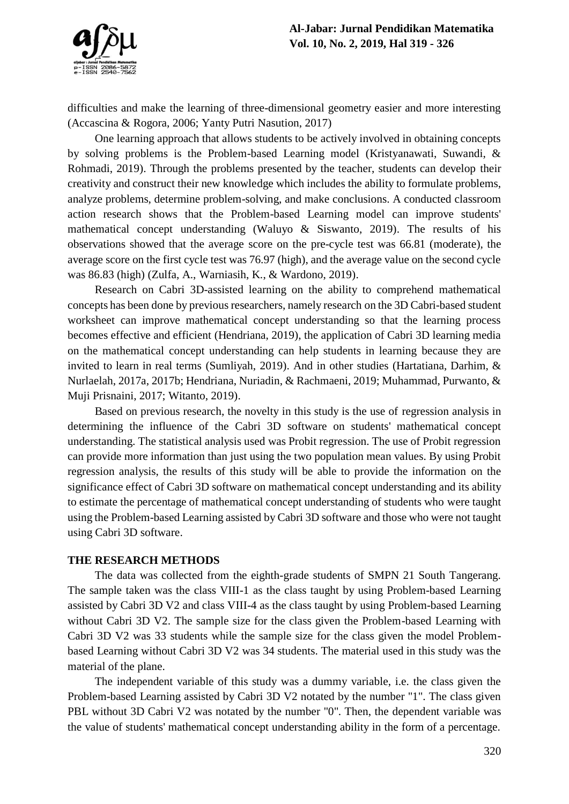

difficulties and make the learning of three-dimensional geometry easier and more interesting (Accascina & Rogora, 2006; Yanty Putri Nasution, 2017)

One learning approach that allows students to be actively involved in obtaining concepts by solving problems is the Problem-based Learning model (Kristyanawati, Suwandi, & Rohmadi, 2019). Through the problems presented by the teacher, students can develop their creativity and construct their new knowledge which includes the ability to formulate problems, analyze problems, determine problem-solving, and make conclusions. A conducted classroom action research shows that the Problem-based Learning model can improve students' mathematical concept understanding (Waluyo & Siswanto, 2019). The results of his observations showed that the average score on the pre-cycle test was 66.81 (moderate), the average score on the first cycle test was 76.97 (high), and the average value on the second cycle was 86.83 (high) (Zulfa, A., Warniasih, K., & Wardono, 2019).

Research on Cabri 3D-assisted learning on the ability to comprehend mathematical concepts has been done by previous researchers, namely research on the 3D Cabri-based student worksheet can improve mathematical concept understanding so that the learning process becomes effective and efficient (Hendriana, 2019), the application of Cabri 3D learning media on the mathematical concept understanding can help students in learning because they are invited to learn in real terms (Sumliyah, 2019). And in other studies (Hartatiana, Darhim, & Nurlaelah, 2017a, 2017b; Hendriana, Nuriadin, & Rachmaeni, 2019; Muhammad, Purwanto, & Muji Prisnaini, 2017; Witanto, 2019).

Based on previous research, the novelty in this study is the use of regression analysis in determining the influence of the Cabri 3D software on students' mathematical concept understanding. The statistical analysis used was Probit regression. The use of Probit regression can provide more information than just using the two population mean values. By using Probit regression analysis, the results of this study will be able to provide the information on the significance effect of Cabri 3D software on mathematical concept understanding and its ability to estimate the percentage of mathematical concept understanding of students who were taught using the Problem-based Learning assisted by Cabri 3D software and those who were not taught using Cabri 3D software.

#### **THE RESEARCH METHODS**

The data was collected from the eighth-grade students of SMPN 21 South Tangerang. The sample taken was the class VIII-1 as the class taught by using Problem-based Learning assisted by Cabri 3D V2 and class VIII-4 as the class taught by using Problem-based Learning without Cabri 3D V2. The sample size for the class given the Problem-based Learning with Cabri 3D V2 was 33 students while the sample size for the class given the model Problembased Learning without Cabri 3D V2 was 34 students. The material used in this study was the material of the plane.

The independent variable of this study was a dummy variable, i.e. the class given the Problem-based Learning assisted by Cabri 3D V2 notated by the number "1". The class given PBL without 3D Cabri V2 was notated by the number "0". Then, the dependent variable was the value of students' mathematical concept understanding ability in the form of a percentage.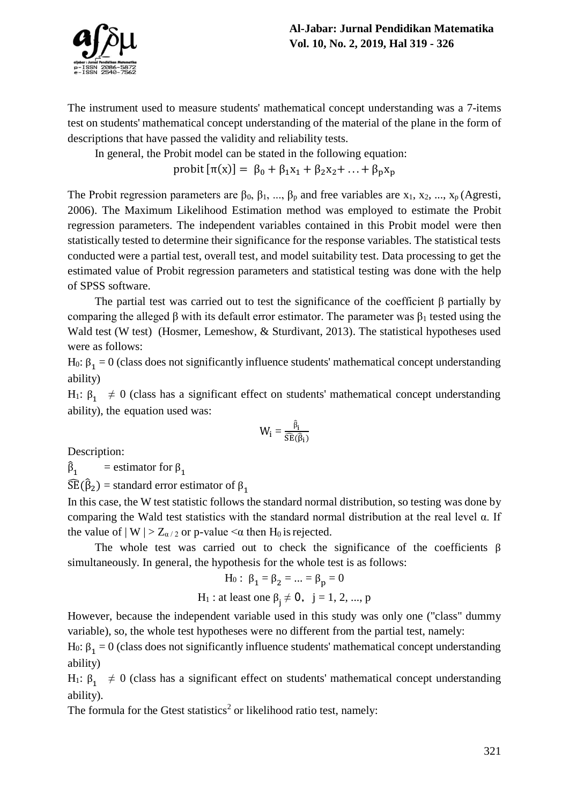

The instrument used to measure students' mathematical concept understanding was a 7-items test on students' mathematical concept understanding of the material of the plane in the form of descriptions that have passed the validity and reliability tests.

In general, the Probit model can be stated in the following equation:

probit  $[\pi(x)] = \beta_0 + \beta_1 x_1 + \beta_2 x_2 + ... + \beta_n x_n$ 

The Probit regression parameters are  $\beta_0$ ,  $\beta_1$ , ...,  $\beta_p$  and free variables are x<sub>1</sub>, x<sub>2</sub>, ..., x<sub>p</sub> (Agresti, 2006). The Maximum Likelihood Estimation method was employed to estimate the Probit regression parameters. The independent variables contained in this Probit model were then statistically tested to determine their significance for the response variables. The statistical tests conducted were a partial test, overall test, and model suitability test. Data processing to get the estimated value of Probit regression parameters and statistical testing was done with the help of SPSS software.

The partial test was carried out to test the significance of the coefficient β partially by comparing the alleged  $\beta$  with its default error estimator. The parameter was  $\beta_1$  tested using the Wald test (W test) (Hosmer, Lemeshow, & Sturdivant, 2013). The statistical hypotheses used were as follows:

 $H_0$ : β<sub>1</sub> = 0 (class does not significantly influence students' mathematical concept understanding ability)

H<sub>1</sub>:  $β_1 \neq 0$  (class has a significant effect on students' mathematical concept understanding ability), the equation used was:

$$
W_i=\frac{\widehat{\beta}_i}{\widehat{SE}(\widehat{\beta}_i)}
$$

Description:

 $\hat{\beta}_1$  = estimator for  $\beta_1$ 

 $\widehat{SE}(\widehat{\beta}_2)$  = standard error estimator of  $\beta_1$ 

In this case, the W test statistic follows the standard normal distribution, so testing was done by comparing the Wald test statistics with the standard normal distribution at the real level α. If the value of  $|W| > Z_{\alpha/2}$  or p-value  $\leq \alpha$  then H<sub>0</sub> is rejected.

The whole test was carried out to check the significance of the coefficients  $\beta$ simultaneously. In general, the hypothesis for the whole test is as follows:

H<sub>0</sub>: 
$$
\beta_1 = \beta_2 = ... = \beta_p = 0
$$

H<sub>1</sub>: at least one 
$$
\beta_j \neq 0
$$
,  $j = 1, 2, ..., p$ 

However, because the independent variable used in this study was only one ("class" dummy variable), so, the whole test hypotheses were no different from the partial test, namely:

 $H_0$ : β<sub>1</sub> = 0 (class does not significantly influence students' mathematical concept understanding ability)

H<sub>1</sub>:  $β_1 \neq 0$  (class has a significant effect on students' mathematical concept understanding ability).

The formula for the Gtest statistics<sup>2</sup> or likelihood ratio test, namely: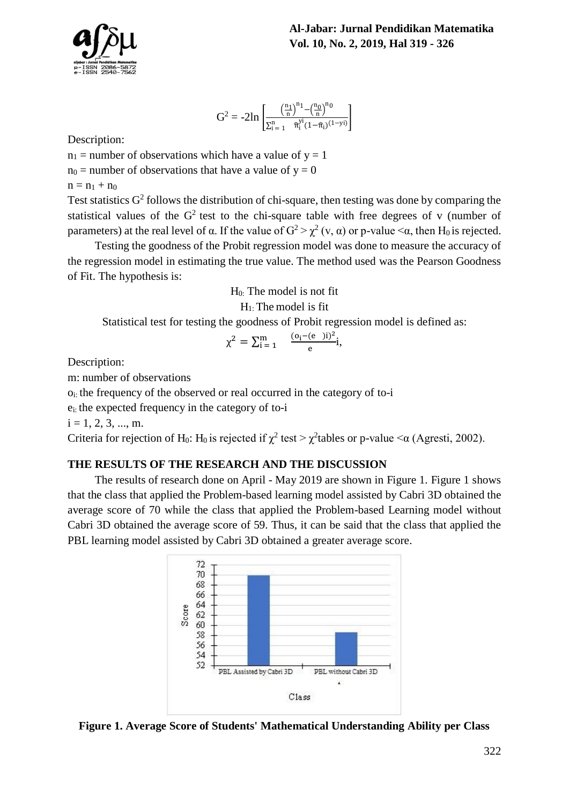



$$
G^2 = -2ln \, \left[ \frac{\left( \frac{n_1}{n} \right)^{n_1} - \left( \frac{n_0}{n} \right)^{n_0}}{\Sigma_{i=1}^{n} - \widehat{\pi}_i^{yi}(1-\widehat{\pi}_i)^{(1-yi)}} \right]
$$

Description:

 $n_1$  = number of observations which have a value of  $y = 1$ 

 $n_0$  = number of observations that have a value of y = 0

 $n = n_1 + n_0$ 

Test statistics  $G^2$  follows the distribution of chi-square, then testing was done by comparing the statistical values of the  $G<sup>2</sup>$  test to the chi-square table with free degrees of v (number of parameters) at the real level of α. If the value of  $G^2 > \chi^2(v, \alpha)$  or p-value  $\lt \alpha$ , then H<sub>0</sub> is rejected.

Testing the goodness of the Probit regression model was done to measure the accuracy of the regression model in estimating the true value. The method used was the Pearson Goodness of Fit. The hypothesis is:

H0: The model is not fit

 $H_1$ : The model is fit

Statistical test for testing the goodness of Probit regression model is defined as:

$$
\chi^2=\textstyle\sum_{i=1}^m\quad\frac{(o_i-(e^-)i)^2}{e}i,
$$

Description:

m: number of observations

 $o_i$ : the frequency of the observed or real occurred in the category of to-i

ei: the expected frequency in the category of to-i

 $i = 1, 2, 3, ..., m$ .

Criteria for rejection of H<sub>0</sub>: H<sub>0</sub> is rejected if  $\chi^2$  test >  $\chi^2$ tables or p-value < $\alpha$  (Agresti, 2002).

## **THE RESULTS OF THE RESEARCH AND THE DISCUSSION**

The results of research done on April - May 2019 are shown in Figure 1. Figure 1 shows that the class that applied the Problem-based learning model assisted by Cabri 3D obtained the average score of 70 while the class that applied the Problem-based Learning model without Cabri 3D obtained the average score of 59. Thus, it can be said that the class that applied the PBL learning model assisted by Cabri 3D obtained a greater average score.



**Figure 1. Average Score of Students' Mathematical Understanding Ability per Class**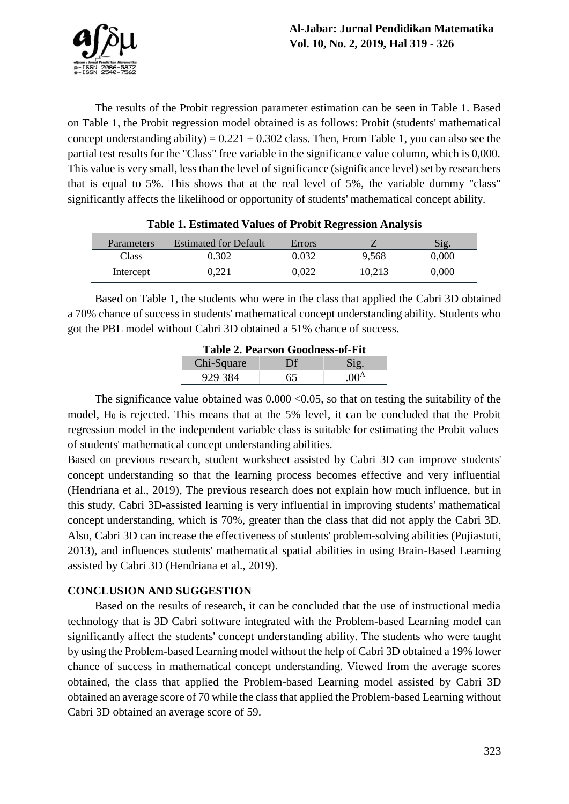The results of the Probit regression parameter estimation can be seen in Table 1. Based on Table 1, the Probit regression model obtained is as follows: Probit (students' mathematical concept understanding ability) =  $0.221 + 0.302$  class. Then, From Table 1, you can also see the partial test results for the "Class" free variable in the significance value column, which is 0,000. This value is very small, less than the level of significance (significance level) set by researchers that is equal to 5%. This shows that at the real level of 5%, the variable dummy "class" significantly affects the likelihood or opportunity of students' mathematical concept ability.

|              | Tuble 1: Ebermated + andeb of 1100ne neglebbron Timary bib |        |        |       |
|--------------|------------------------------------------------------------|--------|--------|-------|
| Parameters   | <b>Estimated for Default</b>                               | Errors |        | Sig.  |
| <b>Class</b> | 0.302                                                      | 0.032  | 9.568  | 0.000 |
| Intercept    | 0.221                                                      | 0.022  | 10.213 | 0,000 |

|  |  | <b>Table 1. Estimated Values of Probit Regression Analysis</b> |
|--|--|----------------------------------------------------------------|
|--|--|----------------------------------------------------------------|

Based on Table 1, the students who were in the class that applied the Cabri 3D obtained a 70% chance of success in students' mathematical concept understanding ability. Students who got the PBL model without Cabri 3D obtained a 51% chance of success.

| <b>Table 2. Pearson Goodness-of-Fit</b> |    |                  |  |  |  |
|-----------------------------------------|----|------------------|--|--|--|
| Chi-Square                              | Df |                  |  |  |  |
| 929 384                                 | 65 | .00 <sup>A</sup> |  |  |  |

The significance value obtained was  $0.000 \le 0.05$ , so that on testing the suitability of the model,  $H_0$  is rejected. This means that at the 5% level, it can be concluded that the Probit regression model in the independent variable class is suitable for estimating the Probit values of students' mathematical concept understanding abilities.

Based on previous research, student worksheet assisted by Cabri 3D can improve students' concept understanding so that the learning process becomes effective and very influential (Hendriana et al., 2019), The previous research does not explain how much influence, but in this study, Cabri 3D-assisted learning is very influential in improving students' mathematical concept understanding, which is 70%, greater than the class that did not apply the Cabri 3D. Also, Cabri 3D can increase the effectiveness of students' problem-solving abilities (Pujiastuti, 2013), and influences students' mathematical spatial abilities in using Brain-Based Learning assisted by Cabri 3D (Hendriana et al., 2019).

## **CONCLUSION AND SUGGESTION**

Based on the results of research, it can be concluded that the use of instructional media technology that is 3D Cabri software integrated with the Problem-based Learning model can significantly affect the students' concept understanding ability. The students who were taught by using the Problem-based Learning model without the help of Cabri 3D obtained a 19% lower chance of success in mathematical concept understanding. Viewed from the average scores obtained, the class that applied the Problem-based Learning model assisted by Cabri 3D obtained an average score of 70 while the class that applied the Problem-based Learning without Cabri 3D obtained an average score of 59.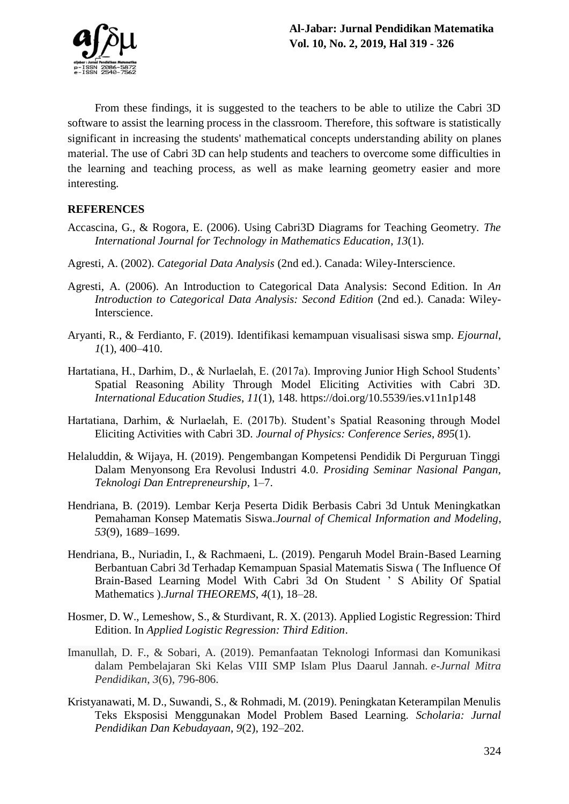

From these findings, it is suggested to the teachers to be able to utilize the Cabri 3D software to assist the learning process in the classroom. Therefore, this software is statistically significant in increasing the students' mathematical concepts understanding ability on planes material. The use of Cabri 3D can help students and teachers to overcome some difficulties in the learning and teaching process, as well as make learning geometry easier and more interesting.

# **REFERENCES**

- Accascina, G., & Rogora, E. (2006). Using Cabri3D Diagrams for Teaching Geometry. *The International Journal for Technology in Mathematics Education*, *13*(1).
- Agresti, A. (2002). *Categorial Data Analysis* (2nd ed.). Canada: Wiley-Interscience.
- Agresti, A. (2006). An Introduction to Categorical Data Analysis: Second Edition. In *An Introduction to Categorical Data Analysis: Second Edition* (2nd ed.). Canada: Wiley-Interscience.
- Aryanti, R., & Ferdianto, F. (2019). Identifikasi kemampuan visualisasi siswa smp. *Ejournal*, *1*(1), 400–410.
- Hartatiana, H., Darhim, D., & Nurlaelah, E. (2017a). Improving Junior High School Students' Spatial Reasoning Ability Through Model Eliciting Activities with Cabri 3D. *International Education Studies*, *11*(1), 148. https://doi.org/10.5539/ies.v11n1p148
- Hartatiana, Darhim, & Nurlaelah, E. (2017b). Student's Spatial Reasoning through Model Eliciting Activities with Cabri 3D. *Journal of Physics: Conference Series*, *895*(1).
- Helaluddin, & Wijaya, H. (2019). Pengembangan Kompetensi Pendidik Di Perguruan Tinggi Dalam Menyonsong Era Revolusi Industri 4.0. *Prosiding Seminar Nasional Pangan, Teknologi Dan Entrepreneurship*, 1–7.
- Hendriana, B. (2019). Lembar Kerja Peserta Didik Berbasis Cabri 3d Untuk Meningkatkan Pemahaman Konsep Matematis Siswa.*Journal of Chemical Information and Modeling*, *53*(9), 1689–1699.
- Hendriana, B., Nuriadin, I., & Rachmaeni, L. (2019). Pengaruh Model Brain-Based Learning Berbantuan Cabri 3d Terhadap Kemampuan Spasial Matematis Siswa ( The Influence Of Brain-Based Learning Model With Cabri 3d On Student ' S Ability Of Spatial Mathematics ).*Jurnal THEOREMS*, *4*(1), 18–28.
- Hosmer, D. W., Lemeshow, S., & Sturdivant, R. X. (2013). Applied Logistic Regression: Third Edition. In *Applied Logistic Regression: Third Edition*.
- Imanullah, D. F., & Sobari, A. (2019). Pemanfaatan Teknologi Informasi dan Komunikasi dalam Pembelajaran Ski Kelas VIII SMP Islam Plus Daarul Jannah. *e-Jurnal Mitra Pendidikan*, *3*(6), 796-806.
- Kristyanawati, M. D., Suwandi, S., & Rohmadi, M. (2019). Peningkatan Keterampilan Menulis Teks Eksposisi Menggunakan Model Problem Based Learning. *Scholaria: Jurnal Pendidikan Dan Kebudayaan*, *9*(2), 192–202.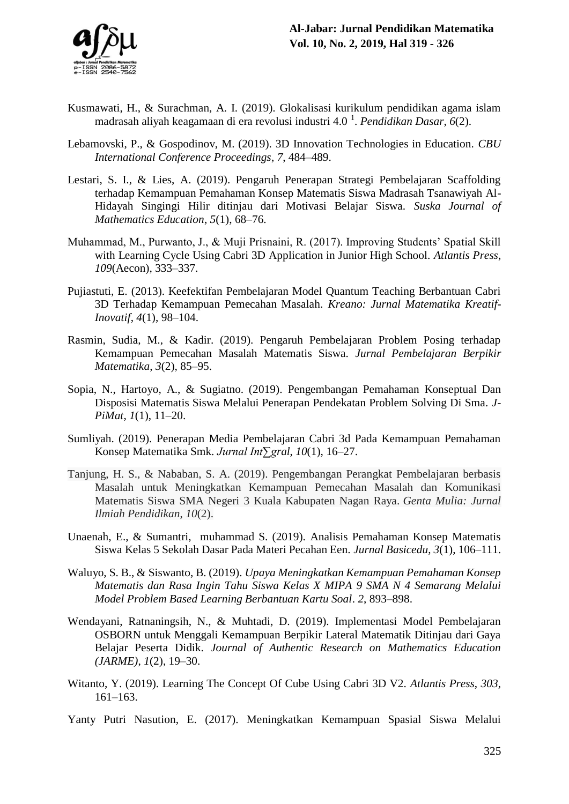- Kusmawati, H., & Surachman, A. I. (2019). Glokalisasi kurikulum pendidikan agama islam madrasah aliyah keagamaan di era revolusi industri 4.0 <sup>1</sup> . *Pendidikan Dasar*, *6*(2).
- Lebamovski, P., & Gospodinov, M. (2019). 3D Innovation Technologies in Education. *CBU International Conference Proceedings*, *7*, 484–489.
- Lestari, S. I., & Lies, A. (2019). Pengaruh Penerapan Strategi Pembelajaran Scaffolding terhadap Kemampuan Pemahaman Konsep Matematis Siswa Madrasah Tsanawiyah Al-Hidayah Singingi Hilir ditinjau dari Motivasi Belajar Siswa. *Suska Journal of Mathematics Education*, *5*(1), 68–76.
- Muhammad, M., Purwanto, J., & Muji Prisnaini, R. (2017). Improving Students' Spatial Skill with Learning Cycle Using Cabri 3D Application in Junior High School. *Atlantis Press*, *109*(Aecon), 333–337.
- Pujiastuti, E. (2013). Keefektifan Pembelajaran Model Quantum Teaching Berbantuan Cabri 3D Terhadap Kemampuan Pemecahan Masalah. *Kreano: Jurnal Matematika Kreatif-Inovatif*, *4*(1), 98–104.
- Rasmin, Sudia, M., & Kadir. (2019). Pengaruh Pembelajaran Problem Posing terhadap Kemampuan Pemecahan Masalah Matematis Siswa. *Jurnal Pembelajaran Berpikir Matematika*, *3*(2), 85–95.
- Sopia, N., Hartoyo, A., & Sugiatno. (2019). Pengembangan Pemahaman Konseptual Dan Disposisi Matematis Siswa Melalui Penerapan Pendekatan Problem Solving Di Sma. *J-PiMat*, *1*(1), 11–20.
- Sumliyah. (2019). Penerapan Media Pembelajaran Cabri 3d Pada Kemampuan Pemahaman Konsep Matematika Smk. *Jurnal Int∑gral*, *10*(1), 16–27.
- Tanjung, H. S., & Nababan, S. A. (2019). Pengembangan Perangkat Pembelajaran berbasis Masalah untuk Meningkatkan Kemampuan Pemecahan Masalah dan Komunikasi Matematis Siswa SMA Negeri 3 Kuala Kabupaten Nagan Raya. *Genta Mulia: Jurnal Ilmiah Pendidikan*, *10*(2).
- Unaenah, E., & Sumantri, muhammad S. (2019). Analisis Pemahaman Konsep Matematis Siswa Kelas 5 Sekolah Dasar Pada Materi Pecahan Een. *Jurnal Basicedu*, *3*(1), 106–111.
- Waluyo, S. B., & Siswanto, B. (2019). *Upaya Meningkatkan Kemampuan Pemahaman Konsep Matematis dan Rasa Ingin Tahu Siswa Kelas X MIPA 9 SMA N 4 Semarang Melalui Model Problem Based Learning Berbantuan Kartu Soal*. *2*, 893–898.
- Wendayani, Ratnaningsih, N., & Muhtadi, D. (2019). Implementasi Model Pembelajaran OSBORN untuk Menggali Kemampuan Berpikir Lateral Matematik Ditinjau dari Gaya Belajar Peserta Didik. *Journal of Authentic Research on Mathematics Education (JARME)*, *1*(2), 19–30.
- Witanto, Y. (2019). Learning The Concept Of Cube Using Cabri 3D V2. *Atlantis Press*, *303*, 161–163.
- Yanty Putri Nasution, E. (2017). Meningkatkan Kemampuan Spasial Siswa Melalui